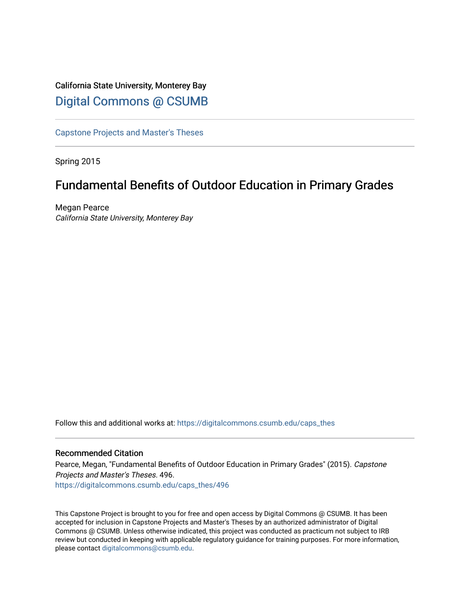# California State University, Monterey Bay [Digital Commons @ CSUMB](https://digitalcommons.csumb.edu/)

[Capstone Projects and Master's Theses](https://digitalcommons.csumb.edu/caps_thes)

Spring 2015

# Fundamental Benefits of Outdoor Education in Primary Grades

Megan Pearce California State University, Monterey Bay

Follow this and additional works at: [https://digitalcommons.csumb.edu/caps\\_thes](https://digitalcommons.csumb.edu/caps_thes?utm_source=digitalcommons.csumb.edu%2Fcaps_thes%2F496&utm_medium=PDF&utm_campaign=PDFCoverPages) 

#### Recommended Citation

Pearce, Megan, "Fundamental Benefits of Outdoor Education in Primary Grades" (2015). Capstone Projects and Master's Theses. 496.

[https://digitalcommons.csumb.edu/caps\\_thes/496](https://digitalcommons.csumb.edu/caps_thes/496?utm_source=digitalcommons.csumb.edu%2Fcaps_thes%2F496&utm_medium=PDF&utm_campaign=PDFCoverPages) 

This Capstone Project is brought to you for free and open access by Digital Commons @ CSUMB. It has been accepted for inclusion in Capstone Projects and Master's Theses by an authorized administrator of Digital Commons @ CSUMB. Unless otherwise indicated, this project was conducted as practicum not subject to IRB review but conducted in keeping with applicable regulatory guidance for training purposes. For more information, please contact [digitalcommons@csumb.edu](mailto:digitalcommons@csumb.edu).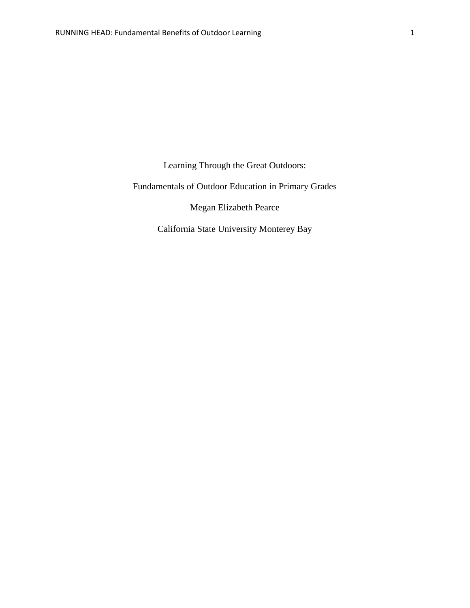Learning Through the Great Outdoors:

Fundamentals of Outdoor Education in Primary Grades

Megan Elizabeth Pearce

California State University Monterey Bay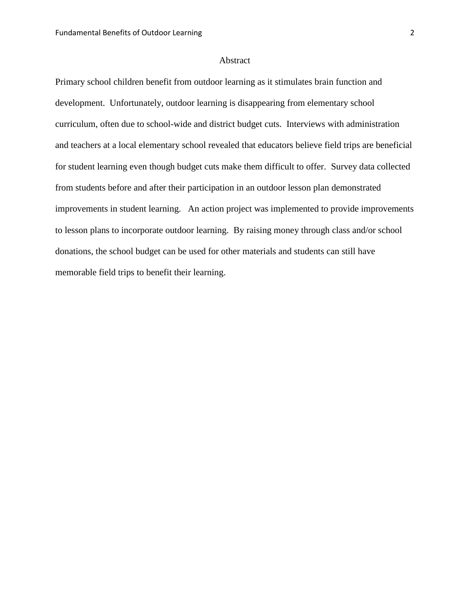## Abstract

Primary school children benefit from outdoor learning as it stimulates brain function and development. Unfortunately, outdoor learning is disappearing from elementary school curriculum, often due to school-wide and district budget cuts. Interviews with administration and teachers at a local elementary school revealed that educators believe field trips are beneficial for student learning even though budget cuts make them difficult to offer. Survey data collected from students before and after their participation in an outdoor lesson plan demonstrated improvements in student learning. An action project was implemented to provide improvements to lesson plans to incorporate outdoor learning. By raising money through class and/or school donations, the school budget can be used for other materials and students can still have memorable field trips to benefit their learning.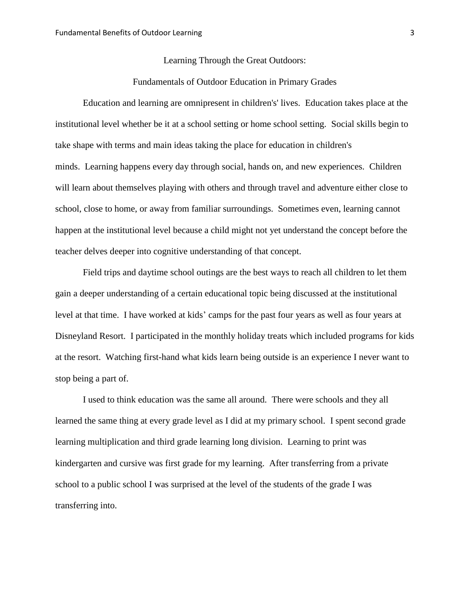#### Learning Through the Great Outdoors:

### Fundamentals of Outdoor Education in Primary Grades

Education and learning are omnipresent in children's' lives. Education takes place at the institutional level whether be it at a school setting or home school setting. Social skills begin to take shape with terms and main ideas taking the place for education in children's minds. Learning happens every day through social, hands on, and new experiences. Children will learn about themselves playing with others and through travel and adventure either close to school, close to home, or away from familiar surroundings. Sometimes even, learning cannot happen at the institutional level because a child might not yet understand the concept before the teacher delves deeper into cognitive understanding of that concept.

Field trips and daytime school outings are the best ways to reach all children to let them gain a deeper understanding of a certain educational topic being discussed at the institutional level at that time. I have worked at kids' camps for the past four years as well as four years at Disneyland Resort. I participated in the monthly holiday treats which included programs for kids at the resort. Watching first-hand what kids learn being outside is an experience I never want to stop being a part of.

I used to think education was the same all around. There were schools and they all learned the same thing at every grade level as I did at my primary school. I spent second grade learning multiplication and third grade learning long division. Learning to print was kindergarten and cursive was first grade for my learning. After transferring from a private school to a public school I was surprised at the level of the students of the grade I was transferring into.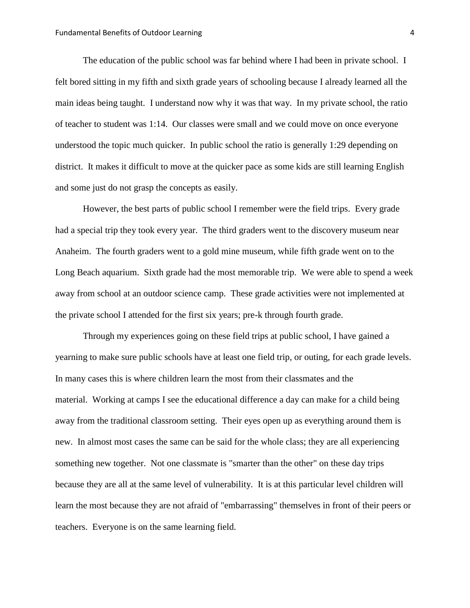The education of the public school was far behind where I had been in private school. I felt bored sitting in my fifth and sixth grade years of schooling because I already learned all the main ideas being taught. I understand now why it was that way. In my private school, the ratio of teacher to student was 1:14. Our classes were small and we could move on once everyone understood the topic much quicker. In public school the ratio is generally 1:29 depending on district. It makes it difficult to move at the quicker pace as some kids are still learning English and some just do not grasp the concepts as easily.

However, the best parts of public school I remember were the field trips. Every grade had a special trip they took every year. The third graders went to the discovery museum near Anaheim. The fourth graders went to a gold mine museum, while fifth grade went on to the Long Beach aquarium. Sixth grade had the most memorable trip. We were able to spend a week away from school at an outdoor science camp. These grade activities were not implemented at the private school I attended for the first six years; pre-k through fourth grade.

Through my experiences going on these field trips at public school, I have gained a yearning to make sure public schools have at least one field trip, or outing, for each grade levels. In many cases this is where children learn the most from their classmates and the material. Working at camps I see the educational difference a day can make for a child being away from the traditional classroom setting. Their eyes open up as everything around them is new. In almost most cases the same can be said for the whole class; they are all experiencing something new together. Not one classmate is "smarter than the other" on these day trips because they are all at the same level of vulnerability. It is at this particular level children will learn the most because they are not afraid of "embarrassing" themselves in front of their peers or teachers. Everyone is on the same learning field.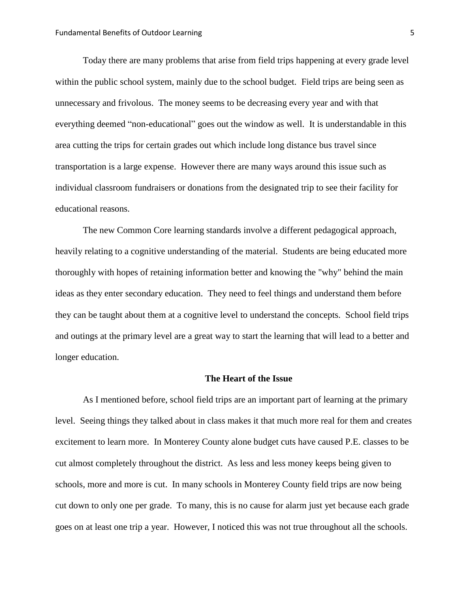Today there are many problems that arise from field trips happening at every grade level within the public school system, mainly due to the school budget. Field trips are being seen as unnecessary and frivolous. The money seems to be decreasing every year and with that everything deemed "non-educational" goes out the window as well. It is understandable in this area cutting the trips for certain grades out which include long distance bus travel since transportation is a large expense. However there are many ways around this issue such as individual classroom fundraisers or donations from the designated trip to see their facility for educational reasons.

The new Common Core learning standards involve a different pedagogical approach, heavily relating to a cognitive understanding of the material. Students are being educated more thoroughly with hopes of retaining information better and knowing the "why" behind the main ideas as they enter secondary education. They need to feel things and understand them before they can be taught about them at a cognitive level to understand the concepts. School field trips and outings at the primary level are a great way to start the learning that will lead to a better and longer education.

## **The Heart of the Issue**

As I mentioned before, school field trips are an important part of learning at the primary level. Seeing things they talked about in class makes it that much more real for them and creates excitement to learn more. In Monterey County alone budget cuts have caused P.E. classes to be cut almost completely throughout the district. As less and less money keeps being given to schools, more and more is cut. In many schools in Monterey County field trips are now being cut down to only one per grade. To many, this is no cause for alarm just yet because each grade goes on at least one trip a year. However, I noticed this was not true throughout all the schools.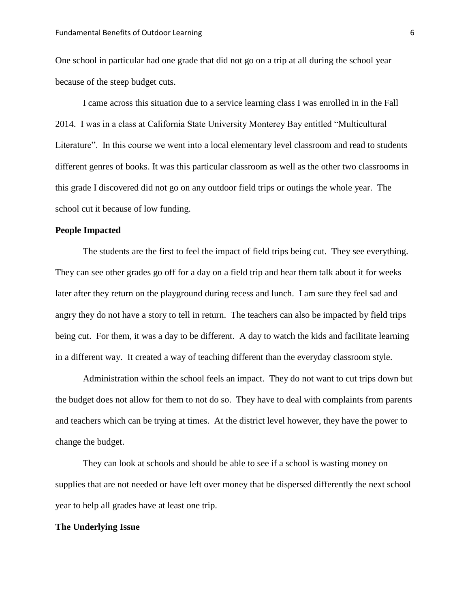One school in particular had one grade that did not go on a trip at all during the school year because of the steep budget cuts.

I came across this situation due to a service learning class I was enrolled in in the Fall 2014. I was in a class at California State University Monterey Bay entitled "Multicultural Literature". In this course we went into a local elementary level classroom and read to students different genres of books. It was this particular classroom as well as the other two classrooms in this grade I discovered did not go on any outdoor field trips or outings the whole year. The school cut it because of low funding.

#### **People Impacted**

The students are the first to feel the impact of field trips being cut. They see everything. They can see other grades go off for a day on a field trip and hear them talk about it for weeks later after they return on the playground during recess and lunch. I am sure they feel sad and angry they do not have a story to tell in return. The teachers can also be impacted by field trips being cut. For them, it was a day to be different. A day to watch the kids and facilitate learning in a different way. It created a way of teaching different than the everyday classroom style.

Administration within the school feels an impact. They do not want to cut trips down but the budget does not allow for them to not do so. They have to deal with complaints from parents and teachers which can be trying at times. At the district level however, they have the power to change the budget.

They can look at schools and should be able to see if a school is wasting money on supplies that are not needed or have left over money that be dispersed differently the next school year to help all grades have at least one trip.

#### **The Underlying Issue**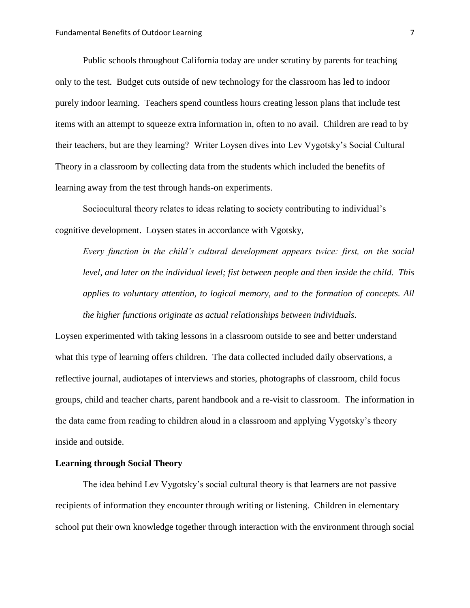Public schools throughout California today are under scrutiny by parents for teaching only to the test. Budget cuts outside of new technology for the classroom has led to indoor purely indoor learning. Teachers spend countless hours creating lesson plans that include test items with an attempt to squeeze extra information in, often to no avail. Children are read to by their teachers, but are they learning? Writer Loysen dives into Lev Vygotsky's Social Cultural Theory in a classroom by collecting data from the students which included the benefits of learning away from the test through hands-on experiments.

Sociocultural theory relates to ideas relating to society contributing to individual's cognitive development. Loysen states in accordance with Vgotsky,

*Every function in the child's cultural development appears twice: first, on the social level, and later on the individual level; fist between people and then inside the child. This applies to voluntary attention, to logical memory, and to the formation of concepts. All the higher functions originate as actual relationships between individuals.*

Loysen experimented with taking lessons in a classroom outside to see and better understand what this type of learning offers children. The data collected included daily observations, a reflective journal, audiotapes of interviews and stories, photographs of classroom, child focus groups, child and teacher charts, parent handbook and a re-visit to classroom. The information in the data came from reading to children aloud in a classroom and applying Vygotsky's theory inside and outside.

#### **Learning through Social Theory**

The idea behind Lev Vygotsky's social cultural theory is that learners are not passive recipients of information they encounter through writing or listening. Children in elementary school put their own knowledge together through interaction with the environment through social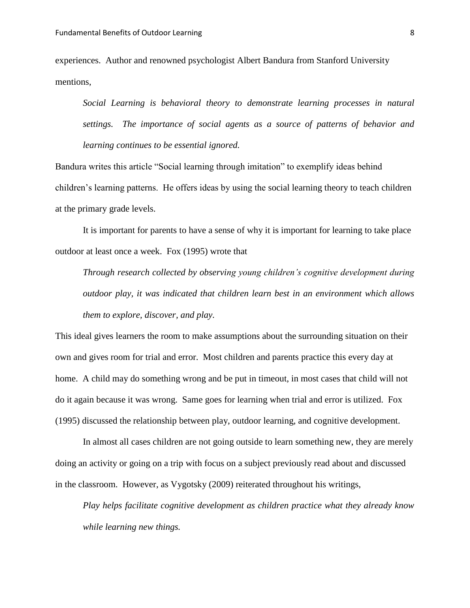experiences. Author and renowned psychologist Albert Bandura from Stanford University mentions,

*Social Learning is behavioral theory to demonstrate learning processes in natural settings. The importance of social agents as a source of patterns of behavior and learning continues to be essential ignored.* 

Bandura writes this article "Social learning through imitation" to exemplify ideas behind children's learning patterns. He offers ideas by using the social learning theory to teach children at the primary grade levels.

It is important for parents to have a sense of why it is important for learning to take place outdoor at least once a week. Fox (1995) wrote that

*Through research collected by observing young children's cognitive development during outdoor play, it was indicated that children learn best in an environment which allows them to explore, discover, and play.*

This ideal gives learners the room to make assumptions about the surrounding situation on their own and gives room for trial and error. Most children and parents practice this every day at home. A child may do something wrong and be put in timeout, in most cases that child will not do it again because it was wrong. Same goes for learning when trial and error is utilized. Fox (1995) discussed the relationship between play, outdoor learning, and cognitive development.

In almost all cases children are not going outside to learn something new, they are merely doing an activity or going on a trip with focus on a subject previously read about and discussed in the classroom. However, as Vygotsky (2009) reiterated throughout his writings,

*Play helps facilitate cognitive development as children practice what they already know while learning new things.*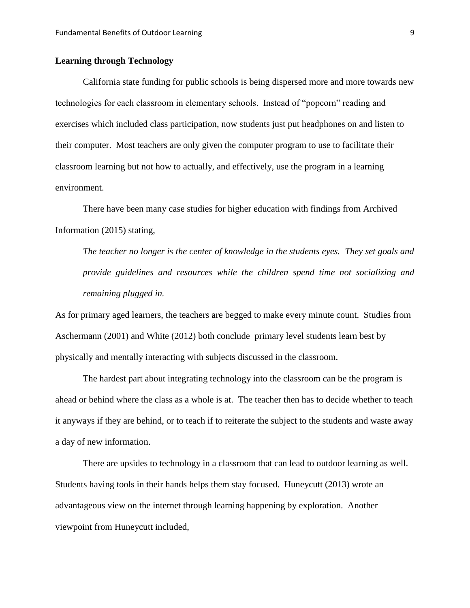## **Learning through Technology**

California state funding for public schools is being dispersed more and more towards new technologies for each classroom in elementary schools. Instead of "popcorn" reading and exercises which included class participation, now students just put headphones on and listen to their computer. Most teachers are only given the computer program to use to facilitate their classroom learning but not how to actually, and effectively, use the program in a learning environment.

There have been many case studies for higher education with findings from Archived Information (2015) stating,

*The teacher no longer is the center of knowledge in the students eyes. They set goals and provide guidelines and resources while the children spend time not socializing and remaining plugged in.* 

As for primary aged learners, the teachers are begged to make every minute count. Studies from Aschermann (2001) and White (2012) both conclude primary level students learn best by physically and mentally interacting with subjects discussed in the classroom.

The hardest part about integrating technology into the classroom can be the program is ahead or behind where the class as a whole is at. The teacher then has to decide whether to teach it anyways if they are behind, or to teach if to reiterate the subject to the students and waste away a day of new information.

There are upsides to technology in a classroom that can lead to outdoor learning as well. Students having tools in their hands helps them stay focused. Huneycutt (2013) wrote an advantageous view on the internet through learning happening by exploration. Another viewpoint from Huneycutt included,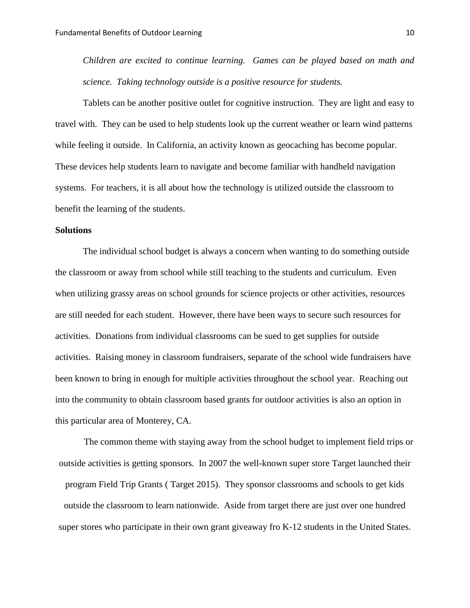*Children are excited to continue learning. Games can be played based on math and science. Taking technology outside is a positive resource for students.*

Tablets can be another positive outlet for cognitive instruction. They are light and easy to travel with. They can be used to help students look up the current weather or learn wind patterns while feeling it outside. In California, an activity known as geocaching has become popular. These devices help students learn to navigate and become familiar with handheld navigation systems. For teachers, it is all about how the technology is utilized outside the classroom to benefit the learning of the students.

#### **Solutions**

The individual school budget is always a concern when wanting to do something outside the classroom or away from school while still teaching to the students and curriculum. Even when utilizing grassy areas on school grounds for science projects or other activities, resources are still needed for each student. However, there have been ways to secure such resources for activities. Donations from individual classrooms can be sued to get supplies for outside activities. Raising money in classroom fundraisers, separate of the school wide fundraisers have been known to bring in enough for multiple activities throughout the school year. Reaching out into the community to obtain classroom based grants for outdoor activities is also an option in this particular area of Monterey, CA.

The common theme with staying away from the school budget to implement field trips or outside activities is getting sponsors. In 2007 the well-known super store Target launched their program Field Trip Grants ( Target 2015). They sponsor classrooms and schools to get kids outside the classroom to learn nationwide. Aside from target there are just over one hundred super stores who participate in their own grant giveaway fro K-12 students in the United States.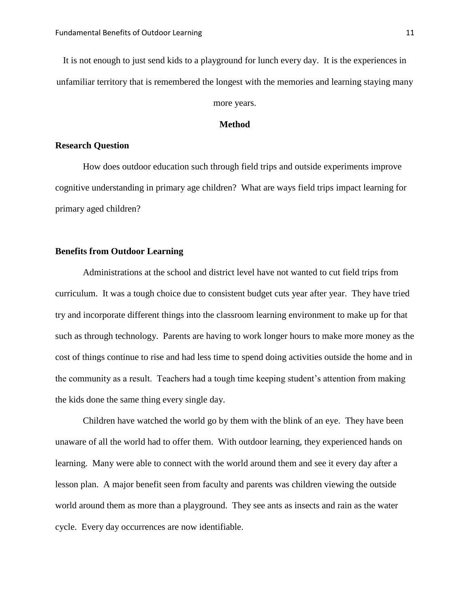It is not enough to just send kids to a playground for lunch every day. It is the experiences in unfamiliar territory that is remembered the longest with the memories and learning staying many

## more years.

### **Method**

#### **Research Question**

How does outdoor education such through field trips and outside experiments improve cognitive understanding in primary age children? What are ways field trips impact learning for primary aged children?

## **Benefits from Outdoor Learning**

Administrations at the school and district level have not wanted to cut field trips from curriculum. It was a tough choice due to consistent budget cuts year after year. They have tried try and incorporate different things into the classroom learning environment to make up for that such as through technology. Parents are having to work longer hours to make more money as the cost of things continue to rise and had less time to spend doing activities outside the home and in the community as a result. Teachers had a tough time keeping student's attention from making the kids done the same thing every single day.

Children have watched the world go by them with the blink of an eye. They have been unaware of all the world had to offer them. With outdoor learning, they experienced hands on learning. Many were able to connect with the world around them and see it every day after a lesson plan. A major benefit seen from faculty and parents was children viewing the outside world around them as more than a playground. They see ants as insects and rain as the water cycle. Every day occurrences are now identifiable.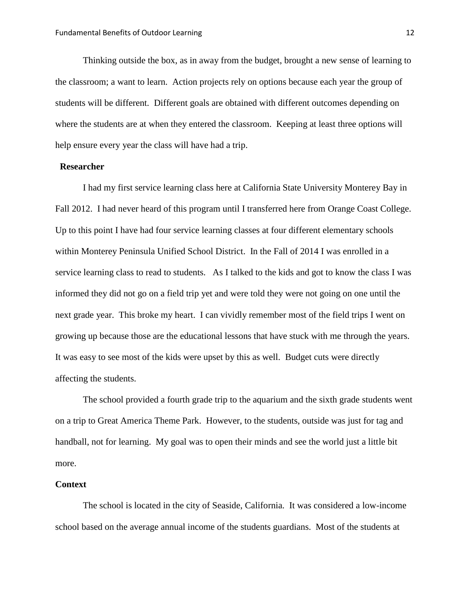Thinking outside the box, as in away from the budget, brought a new sense of learning to the classroom; a want to learn. Action projects rely on options because each year the group of students will be different. Different goals are obtained with different outcomes depending on where the students are at when they entered the classroom. Keeping at least three options will help ensure every year the class will have had a trip.

#### **Researcher**

I had my first service learning class here at California State University Monterey Bay in Fall 2012. I had never heard of this program until I transferred here from Orange Coast College. Up to this point I have had four service learning classes at four different elementary schools within Monterey Peninsula Unified School District. In the Fall of 2014 I was enrolled in a service learning class to read to students. As I talked to the kids and got to know the class I was informed they did not go on a field trip yet and were told they were not going on one until the next grade year. This broke my heart. I can vividly remember most of the field trips I went on growing up because those are the educational lessons that have stuck with me through the years. It was easy to see most of the kids were upset by this as well. Budget cuts were directly affecting the students.

The school provided a fourth grade trip to the aquarium and the sixth grade students went on a trip to Great America Theme Park. However, to the students, outside was just for tag and handball, not for learning. My goal was to open their minds and see the world just a little bit more.

#### **Context**

The school is located in the city of Seaside, California. It was considered a low-income school based on the average annual income of the students guardians. Most of the students at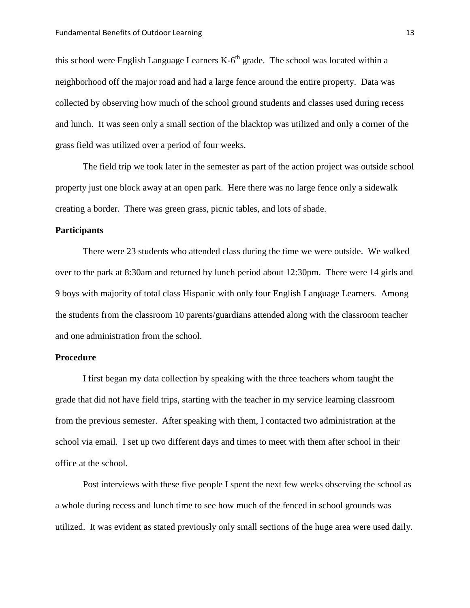this school were English Language Learners  $K-6^{th}$  grade. The school was located within a neighborhood off the major road and had a large fence around the entire property. Data was collected by observing how much of the school ground students and classes used during recess and lunch. It was seen only a small section of the blacktop was utilized and only a corner of the grass field was utilized over a period of four weeks.

The field trip we took later in the semester as part of the action project was outside school property just one block away at an open park. Here there was no large fence only a sidewalk creating a border. There was green grass, picnic tables, and lots of shade.

#### **Participants**

There were 23 students who attended class during the time we were outside. We walked over to the park at 8:30am and returned by lunch period about 12:30pm. There were 14 girls and 9 boys with majority of total class Hispanic with only four English Language Learners. Among the students from the classroom 10 parents/guardians attended along with the classroom teacher and one administration from the school.

#### **Procedure**

I first began my data collection by speaking with the three teachers whom taught the grade that did not have field trips, starting with the teacher in my service learning classroom from the previous semester. After speaking with them, I contacted two administration at the school via email. I set up two different days and times to meet with them after school in their office at the school.

Post interviews with these five people I spent the next few weeks observing the school as a whole during recess and lunch time to see how much of the fenced in school grounds was utilized. It was evident as stated previously only small sections of the huge area were used daily.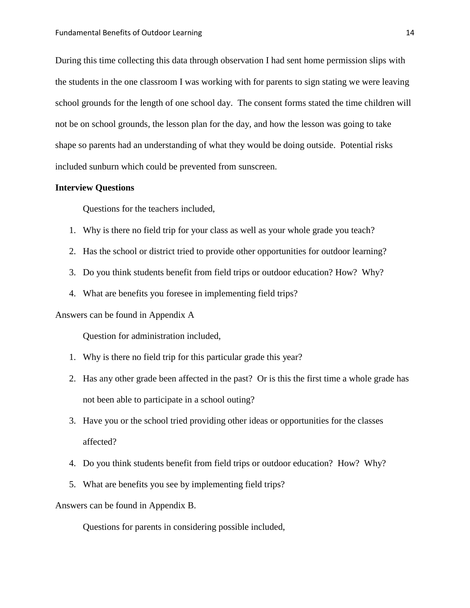During this time collecting this data through observation I had sent home permission slips with the students in the one classroom I was working with for parents to sign stating we were leaving school grounds for the length of one school day. The consent forms stated the time children will not be on school grounds, the lesson plan for the day, and how the lesson was going to take shape so parents had an understanding of what they would be doing outside. Potential risks included sunburn which could be prevented from sunscreen.

#### **Interview Questions**

Questions for the teachers included,

- 1. Why is there no field trip for your class as well as your whole grade you teach?
- 2. Has the school or district tried to provide other opportunities for outdoor learning?
- 3. Do you think students benefit from field trips or outdoor education? How? Why?
- 4. What are benefits you foresee in implementing field trips?

Answers can be found in Appendix A

Question for administration included,

- 1. Why is there no field trip for this particular grade this year?
- 2. Has any other grade been affected in the past? Or is this the first time a whole grade has not been able to participate in a school outing?
- 3. Have you or the school tried providing other ideas or opportunities for the classes affected?
- 4. Do you think students benefit from field trips or outdoor education? How? Why?
- 5. What are benefits you see by implementing field trips?

Answers can be found in Appendix B.

Questions for parents in considering possible included,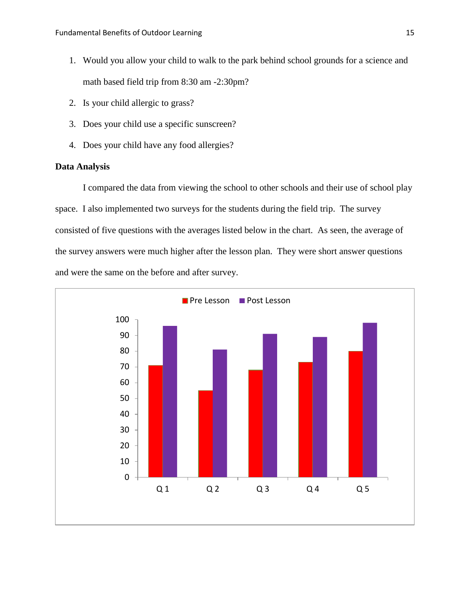- 1. Would you allow your child to walk to the park behind school grounds for a science and math based field trip from 8:30 am -2:30pm?
- 2. Is your child allergic to grass?
- 3. Does your child use a specific sunscreen?
- 4. Does your child have any food allergies?

## **Data Analysis**

I compared the data from viewing the school to other schools and their use of school play space. I also implemented two surveys for the students during the field trip. The survey consisted of five questions with the averages listed below in the chart. As seen, the average of the survey answers were much higher after the lesson plan. They were short answer questions and were the same on the before and after survey.

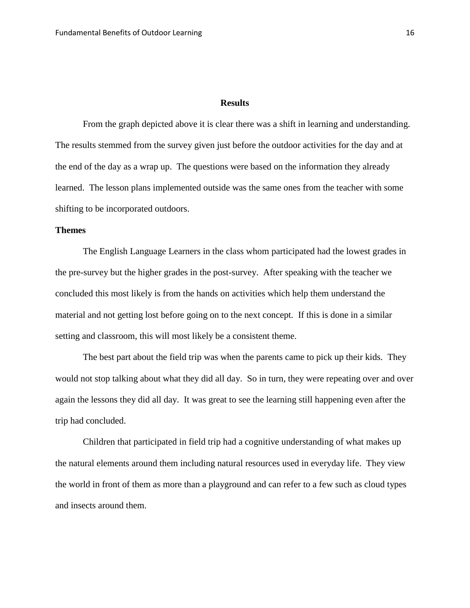### **Results**

From the graph depicted above it is clear there was a shift in learning and understanding. The results stemmed from the survey given just before the outdoor activities for the day and at the end of the day as a wrap up. The questions were based on the information they already learned. The lesson plans implemented outside was the same ones from the teacher with some shifting to be incorporated outdoors.

## **Themes**

The English Language Learners in the class whom participated had the lowest grades in the pre-survey but the higher grades in the post-survey. After speaking with the teacher we concluded this most likely is from the hands on activities which help them understand the material and not getting lost before going on to the next concept. If this is done in a similar setting and classroom, this will most likely be a consistent theme.

The best part about the field trip was when the parents came to pick up their kids. They would not stop talking about what they did all day. So in turn, they were repeating over and over again the lessons they did all day. It was great to see the learning still happening even after the trip had concluded.

Children that participated in field trip had a cognitive understanding of what makes up the natural elements around them including natural resources used in everyday life. They view the world in front of them as more than a playground and can refer to a few such as cloud types and insects around them.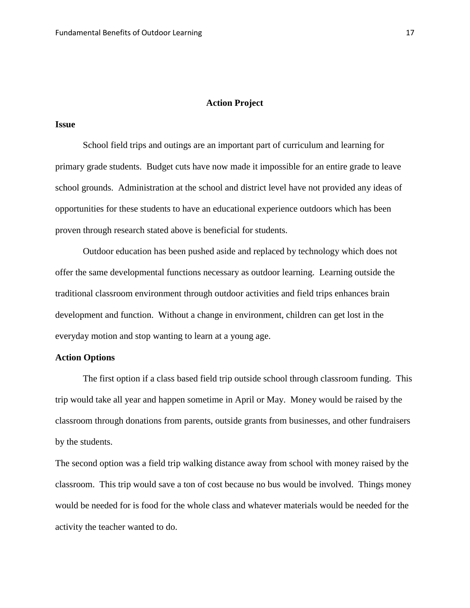#### **Action Project**

#### **Issue**

School field trips and outings are an important part of curriculum and learning for primary grade students. Budget cuts have now made it impossible for an entire grade to leave school grounds. Administration at the school and district level have not provided any ideas of opportunities for these students to have an educational experience outdoors which has been proven through research stated above is beneficial for students.

Outdoor education has been pushed aside and replaced by technology which does not offer the same developmental functions necessary as outdoor learning. Learning outside the traditional classroom environment through outdoor activities and field trips enhances brain development and function. Without a change in environment, children can get lost in the everyday motion and stop wanting to learn at a young age.

## **Action Options**

The first option if a class based field trip outside school through classroom funding. This trip would take all year and happen sometime in April or May. Money would be raised by the classroom through donations from parents, outside grants from businesses, and other fundraisers by the students.

The second option was a field trip walking distance away from school with money raised by the classroom. This trip would save a ton of cost because no bus would be involved. Things money would be needed for is food for the whole class and whatever materials would be needed for the activity the teacher wanted to do.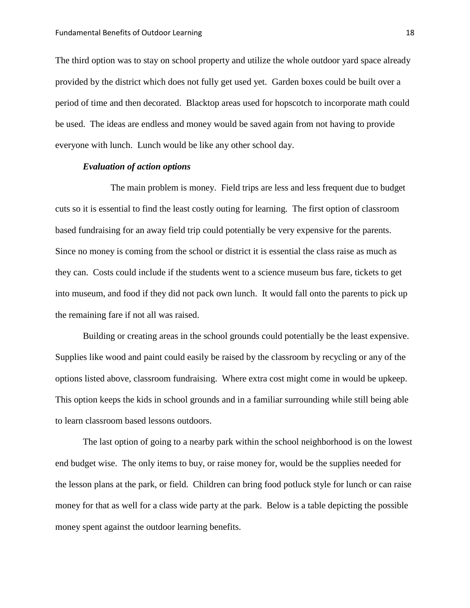The third option was to stay on school property and utilize the whole outdoor yard space already provided by the district which does not fully get used yet. Garden boxes could be built over a period of time and then decorated. Blacktop areas used for hopscotch to incorporate math could be used. The ideas are endless and money would be saved again from not having to provide everyone with lunch. Lunch would be like any other school day.

#### *Evaluation of action options*

The main problem is money. Field trips are less and less frequent due to budget cuts so it is essential to find the least costly outing for learning. The first option of classroom based fundraising for an away field trip could potentially be very expensive for the parents. Since no money is coming from the school or district it is essential the class raise as much as they can. Costs could include if the students went to a science museum bus fare, tickets to get into museum, and food if they did not pack own lunch. It would fall onto the parents to pick up the remaining fare if not all was raised.

Building or creating areas in the school grounds could potentially be the least expensive. Supplies like wood and paint could easily be raised by the classroom by recycling or any of the options listed above, classroom fundraising. Where extra cost might come in would be upkeep. This option keeps the kids in school grounds and in a familiar surrounding while still being able to learn classroom based lessons outdoors.

The last option of going to a nearby park within the school neighborhood is on the lowest end budget wise. The only items to buy, or raise money for, would be the supplies needed for the lesson plans at the park, or field. Children can bring food potluck style for lunch or can raise money for that as well for a class wide party at the park. Below is a table depicting the possible money spent against the outdoor learning benefits.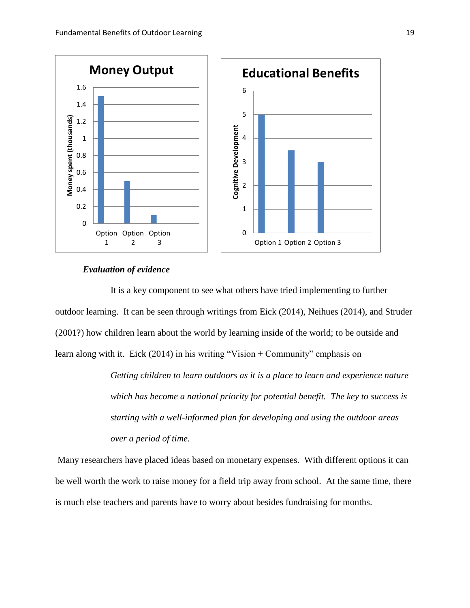

#### *Evaluation of evidence*

It is a key component to see what others have tried implementing to further outdoor learning. It can be seen through writings from Eick (2014), Neihues (2014), and Struder (2001?) how children learn about the world by learning inside of the world; to be outside and learn along with it. Eick (2014) in his writing "Vision + Community" emphasis on

> *Getting children to learn outdoors as it is a place to learn and experience nature which has become a national priority for potential benefit. The key to success is starting with a well-informed plan for developing and using the outdoor areas over a period of time.*

Many researchers have placed ideas based on monetary expenses. With different options it can be well worth the work to raise money for a field trip away from school. At the same time, there is much else teachers and parents have to worry about besides fundraising for months.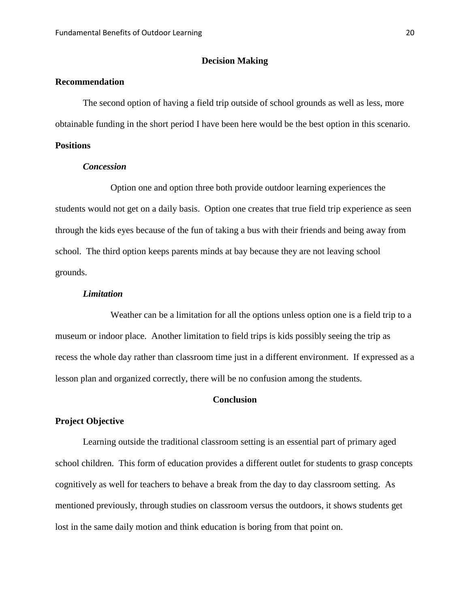#### **Decision Making**

## **Recommendation**

The second option of having a field trip outside of school grounds as well as less, more obtainable funding in the short period I have been here would be the best option in this scenario.

## **Positions**

#### *Concession*

Option one and option three both provide outdoor learning experiences the students would not get on a daily basis. Option one creates that true field trip experience as seen through the kids eyes because of the fun of taking a bus with their friends and being away from school. The third option keeps parents minds at bay because they are not leaving school grounds.

#### *Limitation*

Weather can be a limitation for all the options unless option one is a field trip to a museum or indoor place. Another limitation to field trips is kids possibly seeing the trip as recess the whole day rather than classroom time just in a different environment. If expressed as a lesson plan and organized correctly, there will be no confusion among the students.

#### **Conclusion**

#### **Project Objective**

Learning outside the traditional classroom setting is an essential part of primary aged school children. This form of education provides a different outlet for students to grasp concepts cognitively as well for teachers to behave a break from the day to day classroom setting. As mentioned previously, through studies on classroom versus the outdoors, it shows students get lost in the same daily motion and think education is boring from that point on.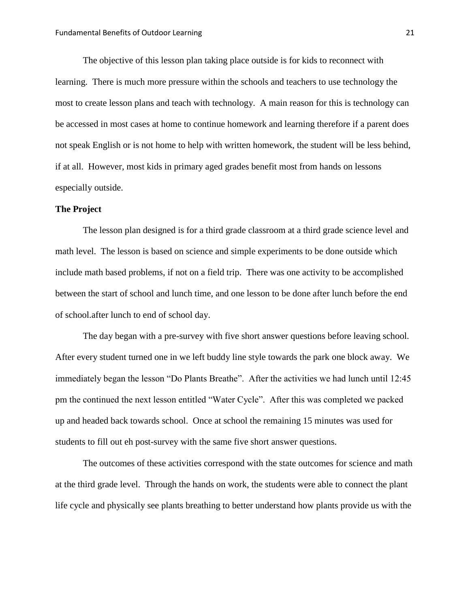The objective of this lesson plan taking place outside is for kids to reconnect with learning. There is much more pressure within the schools and teachers to use technology the most to create lesson plans and teach with technology. A main reason for this is technology can be accessed in most cases at home to continue homework and learning therefore if a parent does not speak English or is not home to help with written homework, the student will be less behind, if at all. However, most kids in primary aged grades benefit most from hands on lessons especially outside.

#### **The Project**

The lesson plan designed is for a third grade classroom at a third grade science level and math level. The lesson is based on science and simple experiments to be done outside which include math based problems, if not on a field trip. There was one activity to be accomplished between the start of school and lunch time, and one lesson to be done after lunch before the end of school.after lunch to end of school day.

The day began with a pre-survey with five short answer questions before leaving school. After every student turned one in we left buddy line style towards the park one block away. We immediately began the lesson "Do Plants Breathe". After the activities we had lunch until 12:45 pm the continued the next lesson entitled "Water Cycle". After this was completed we packed up and headed back towards school. Once at school the remaining 15 minutes was used for students to fill out eh post-survey with the same five short answer questions.

The outcomes of these activities correspond with the state outcomes for science and math at the third grade level. Through the hands on work, the students were able to connect the plant life cycle and physically see plants breathing to better understand how plants provide us with the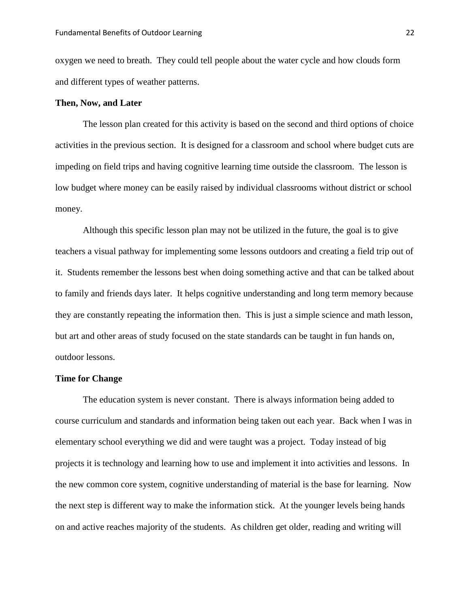oxygen we need to breath. They could tell people about the water cycle and how clouds form and different types of weather patterns.

#### **Then, Now, and Later**

The lesson plan created for this activity is based on the second and third options of choice activities in the previous section. It is designed for a classroom and school where budget cuts are impeding on field trips and having cognitive learning time outside the classroom. The lesson is low budget where money can be easily raised by individual classrooms without district or school money.

Although this specific lesson plan may not be utilized in the future, the goal is to give teachers a visual pathway for implementing some lessons outdoors and creating a field trip out of it. Students remember the lessons best when doing something active and that can be talked about to family and friends days later. It helps cognitive understanding and long term memory because they are constantly repeating the information then. This is just a simple science and math lesson, but art and other areas of study focused on the state standards can be taught in fun hands on, outdoor lessons.

#### **Time for Change**

The education system is never constant. There is always information being added to course curriculum and standards and information being taken out each year. Back when I was in elementary school everything we did and were taught was a project. Today instead of big projects it is technology and learning how to use and implement it into activities and lessons. In the new common core system, cognitive understanding of material is the base for learning. Now the next step is different way to make the information stick. At the younger levels being hands on and active reaches majority of the students. As children get older, reading and writing will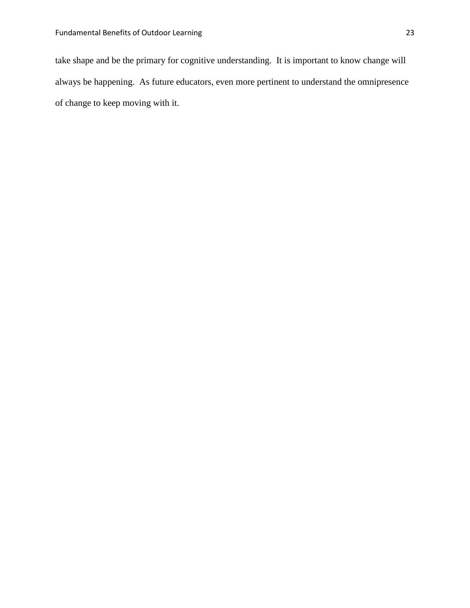take shape and be the primary for cognitive understanding. It is important to know change will always be happening. As future educators, even more pertinent to understand the omnipresence of change to keep moving with it.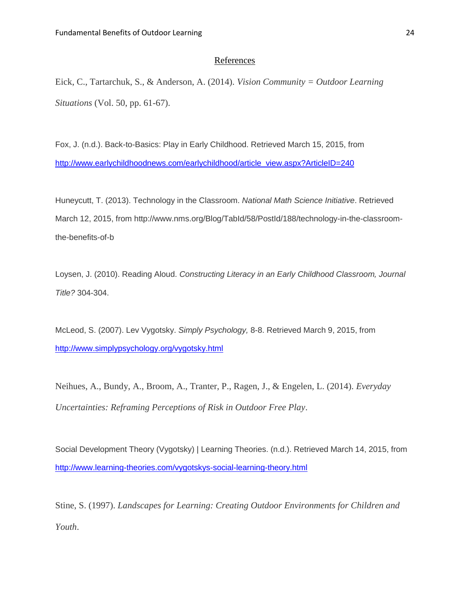#### References

Eick, C., Tartarchuk, S., & Anderson, A. (2014). *Vision Community = Outdoor Learning Situations* (Vol. 50, pp. 61-67).

Fox, J. (n.d.). Back-to-Basics: Play in Early Childhood. Retrieved March 15, 2015, from [http://www.earlychildhoodnews.com/earlychildhood/article\\_view.aspx?ArticleID=240](http://www.earlychildhoodnews.com/earlychildhood/article_view.aspx?ArticleID=240)

Huneycutt, T. (2013). Technology in the Classroom. *National Math Science Initiative*. Retrieved March 12, 2015, from http://www.nms.org/Blog/TabId/58/PostId/188/technology-in-the-classroomthe-benefits-of-b

Loysen, J. (2010). Reading Aloud. *Constructing Literacy in an Early Childhood Classroom, Journal Title?* 304-304.

McLeod, S. (2007). Lev Vygotsky. *Simply Psychology,* 8-8. Retrieved March 9, 2015, from <http://www.simplypsychology.org/vygotsky.html>

Neihues, A., Bundy, A., Broom, A., Tranter, P., Ragen, J., & Engelen, L. (2014). *Everyday Uncertainties: Reframing Perceptions of Risk in Outdoor Free Play*.

Social Development Theory (Vygotsky) | Learning Theories. (n.d.). Retrieved March 14, 2015, from <http://www.learning-theories.com/vygotskys-social-learning-theory.html>

Stine, S. (1997). *Landscapes for Learning: Creating Outdoor Environments for Children and Youth*.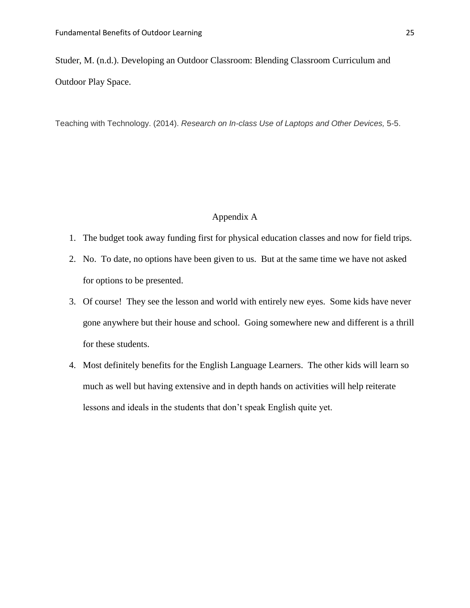Studer, M. (n.d.). Developing an Outdoor Classroom: Blending Classroom Curriculum and Outdoor Play Space.

Teaching with Technology. (2014). *Research on In-class Use of Laptops and Other Devices,* 5-5.

## Appendix A

- 1. The budget took away funding first for physical education classes and now for field trips.
- 2. No. To date, no options have been given to us. But at the same time we have not asked for options to be presented.
- 3. Of course! They see the lesson and world with entirely new eyes. Some kids have never gone anywhere but their house and school. Going somewhere new and different is a thrill for these students.
- 4. Most definitely benefits for the English Language Learners. The other kids will learn so much as well but having extensive and in depth hands on activities will help reiterate lessons and ideals in the students that don't speak English quite yet.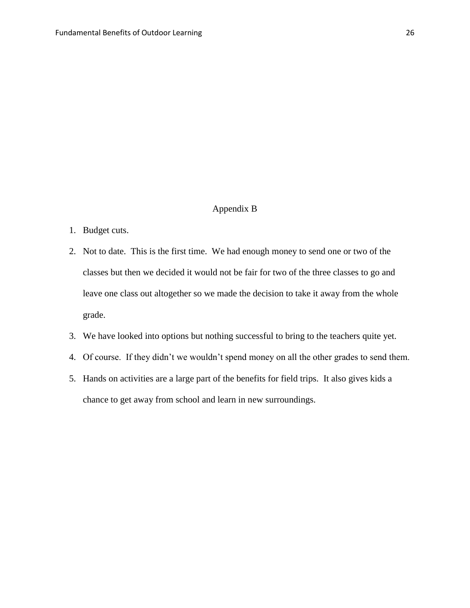## Appendix B

- 1. Budget cuts.
- 2. Not to date. This is the first time. We had enough money to send one or two of the classes but then we decided it would not be fair for two of the three classes to go and leave one class out altogether so we made the decision to take it away from the whole grade.
- 3. We have looked into options but nothing successful to bring to the teachers quite yet.
- 4. Of course. If they didn't we wouldn't spend money on all the other grades to send them.
- 5. Hands on activities are a large part of the benefits for field trips. It also gives kids a chance to get away from school and learn in new surroundings.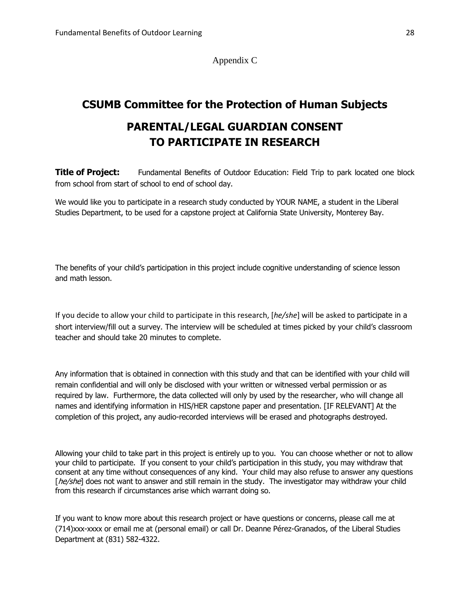Appendix C

## **CSUMB Committee for the Protection of Human Subjects**

# **PARENTAL/LEGAL GUARDIAN CONSENT TO PARTICIPATE IN RESEARCH**

**Title of Project:** Fundamental Benefits of Outdoor Education: Field Trip to park located one block from school from start of school to end of school day.

We would like you to participate in a research study conducted by YOUR NAME, a student in the Liberal Studies Department, to be used for a capstone project at California State University, Monterey Bay.

The benefits of your child's participation in this project include cognitive understanding of science lesson and math lesson.

If you decide to allow your child to participate in this research, [*he/she*] will be asked to participate in a short interview/fill out a survey. The interview will be scheduled at times picked by your child's classroom teacher and should take 20 minutes to complete.

Any information that is obtained in connection with this study and that can be identified with your child will remain confidential and will only be disclosed with your written or witnessed verbal permission or as required by law. Furthermore, the data collected will only by used by the researcher, who will change all names and identifying information in HIS/HER capstone paper and presentation. [IF RELEVANT] At the completion of this project, any audio-recorded interviews will be erased and photographs destroyed.

Allowing your child to take part in this project is entirely up to you. You can choose whether or not to allow your child to participate. If you consent to your child's participation in this study, you may withdraw that consent at any time without consequences of any kind. Your child may also refuse to answer any questions [he/she] does not want to answer and still remain in the study. The investigator may withdraw your child from this research if circumstances arise which warrant doing so.

If you want to know more about this research project or have questions or concerns, please call me at (714)xxx-xxxx or email me at (personal email) or call Dr. Deanne Pérez-Granados, of the Liberal Studies Department at (831) 582-4322.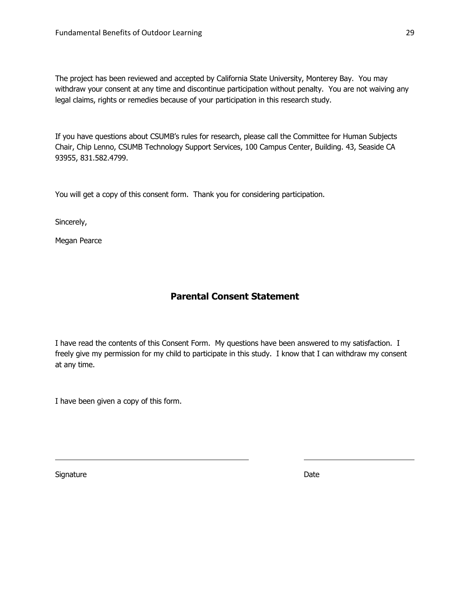The project has been reviewed and accepted by California State University, Monterey Bay. You may withdraw your consent at any time and discontinue participation without penalty. You are not waiving any legal claims, rights or remedies because of your participation in this research study.

If you have questions about CSUMB's rules for research, please call the Committee for Human Subjects Chair, Chip Lenno, CSUMB Technology Support Services, 100 Campus Center, Building. 43, Seaside CA 93955, 831.582.4799.

You will get a copy of this consent form. Thank you for considering participation.

Sincerely,

Megan Pearce

## **Parental Consent Statement**

I have read the contents of this Consent Form. My questions have been answered to my satisfaction. I freely give my permission for my child to participate in this study. I know that I can withdraw my consent at any time.

I have been given a copy of this form.

Signature Date